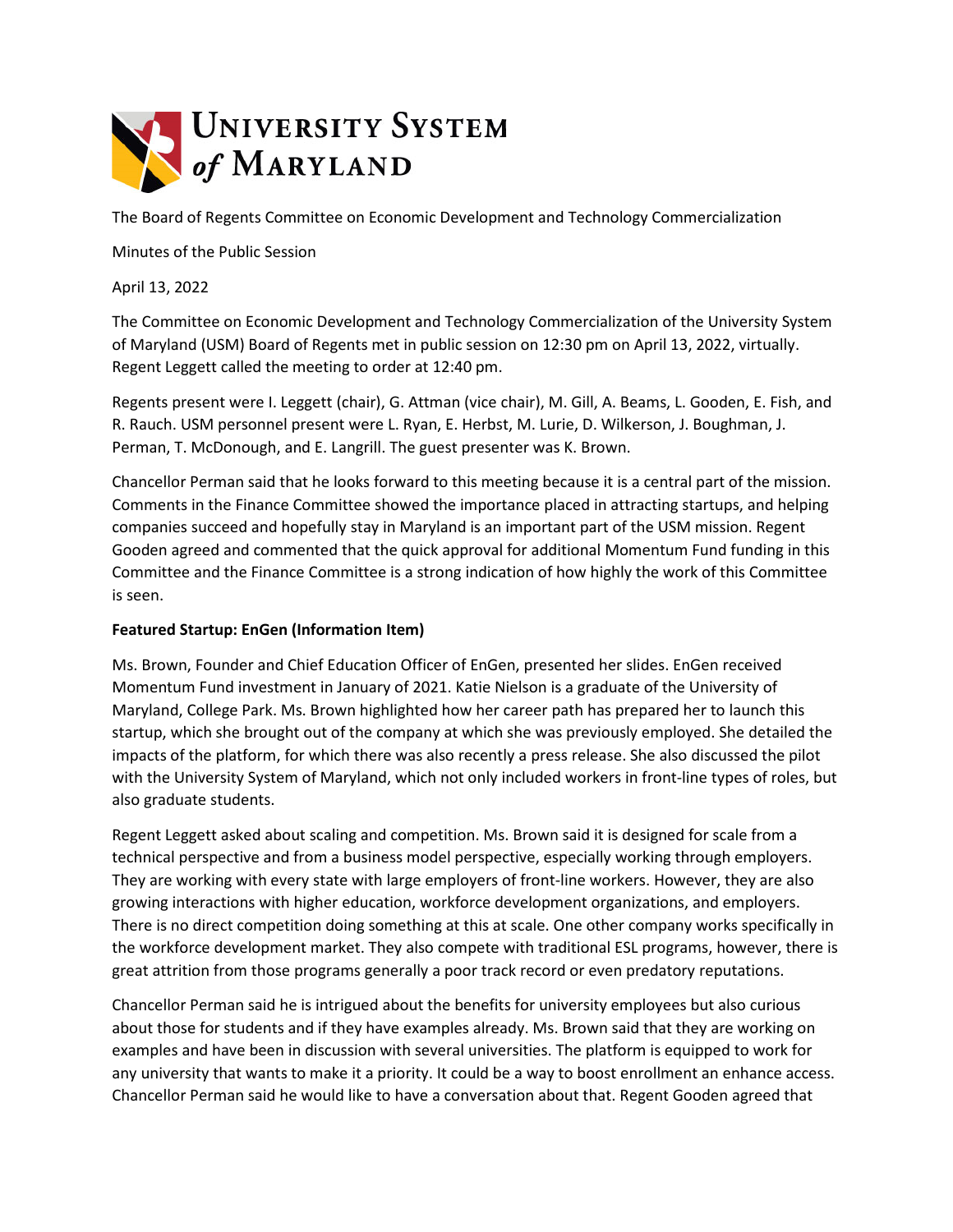

The Board of Regents Committee on Economic Development and Technology Commercialization

Minutes of the Public Session

April 13, 2022

The Committee on Economic Development and Technology Commercialization of the University System of Maryland (USM) Board of Regents met in public session on 12:30 pm on April 13, 2022, virtually. Regent Leggett called the meeting to order at 12:40 pm.

Regents present were I. Leggett (chair), G. Attman (vice chair), M. Gill, A. Beams, L. Gooden, E. Fish, and R. Rauch. USM personnel present were L. Ryan, E. Herbst, M. Lurie, D. Wilkerson, J. Boughman, J. Perman, T. McDonough, and E. Langrill. The guest presenter was K. Brown.

Chancellor Perman said that he looks forward to this meeting because it is a central part of the mission. Comments in the Finance Committee showed the importance placed in attracting startups, and helping companies succeed and hopefully stay in Maryland is an important part of the USM mission. Regent Gooden agreed and commented that the quick approval for additional Momentum Fund funding in this Committee and the Finance Committee is a strong indication of how highly the work of this Committee is seen.

## **Featured Startup: EnGen (Information Item)**

Ms. Brown, Founder and Chief Education Officer of EnGen, presented her slides. EnGen received Momentum Fund investment in January of 2021. Katie Nielson is a graduate of the University of Maryland, College Park. Ms. Brown highlighted how her career path has prepared her to launch this startup, which she brought out of the company at which she was previously employed. She detailed the impacts of the platform, for which there was also recently a press release. She also discussed the pilot with the University System of Maryland, which not only included workers in front-line types of roles, but also graduate students.

Regent Leggett asked about scaling and competition. Ms. Brown said it is designed for scale from a technical perspective and from a business model perspective, especially working through employers. They are working with every state with large employers of front-line workers. However, they are also growing interactions with higher education, workforce development organizations, and employers. There is no direct competition doing something at this at scale. One other company works specifically in the workforce development market. They also compete with traditional ESL programs, however, there is great attrition from those programs generally a poor track record or even predatory reputations.

Chancellor Perman said he is intrigued about the benefits for university employees but also curious about those for students and if they have examples already. Ms. Brown said that they are working on examples and have been in discussion with several universities. The platform is equipped to work for any university that wants to make it a priority. It could be a way to boost enrollment an enhance access. Chancellor Perman said he would like to have a conversation about that. Regent Gooden agreed that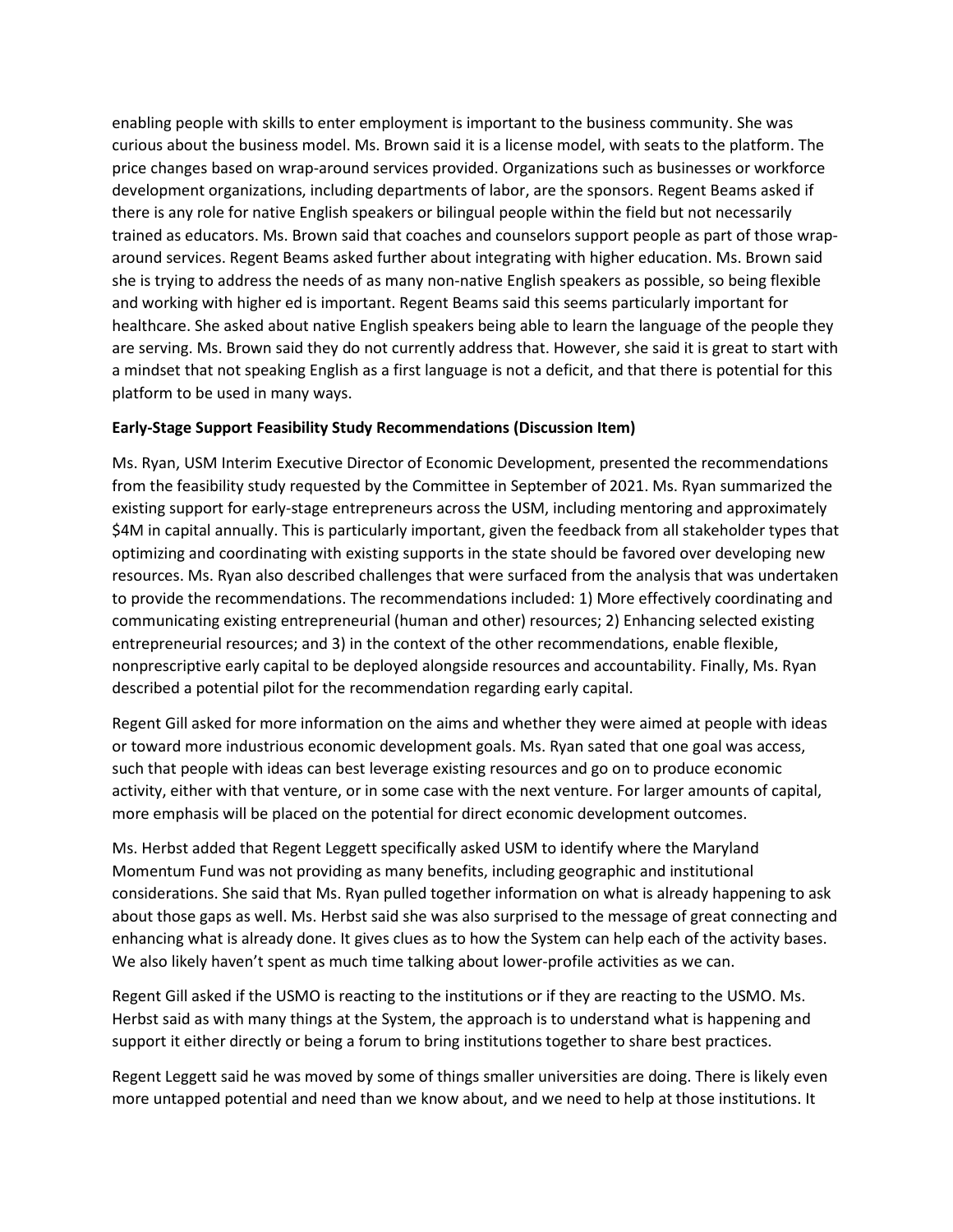enabling people with skills to enter employment is important to the business community. She was curious about the business model. Ms. Brown said it is a license model, with seats to the platform. The price changes based on wrap-around services provided. Organizations such as businesses or workforce development organizations, including departments of labor, are the sponsors. Regent Beams asked if there is any role for native English speakers or bilingual people within the field but not necessarily trained as educators. Ms. Brown said that coaches and counselors support people as part of those wraparound services. Regent Beams asked further about integrating with higher education. Ms. Brown said she is trying to address the needs of as many non-native English speakers as possible, so being flexible and working with higher ed is important. Regent Beams said this seems particularly important for healthcare. She asked about native English speakers being able to learn the language of the people they are serving. Ms. Brown said they do not currently address that. However, she said it is great to start with a mindset that not speaking English as a first language is not a deficit, and that there is potential for this platform to be used in many ways.

## **Early-Stage Support Feasibility Study Recommendations (Discussion Item)**

Ms. Ryan, USM Interim Executive Director of Economic Development, presented the recommendations from the feasibility study requested by the Committee in September of 2021. Ms. Ryan summarized the existing support for early-stage entrepreneurs across the USM, including mentoring and approximately \$4M in capital annually. This is particularly important, given the feedback from all stakeholder types that optimizing and coordinating with existing supports in the state should be favored over developing new resources. Ms. Ryan also described challenges that were surfaced from the analysis that was undertaken to provide the recommendations. The recommendations included: 1) More effectively coordinating and communicating existing entrepreneurial (human and other) resources; 2) Enhancing selected existing entrepreneurial resources; and 3) in the context of the other recommendations, enable flexible, nonprescriptive early capital to be deployed alongside resources and accountability. Finally, Ms. Ryan described a potential pilot for the recommendation regarding early capital.

Regent Gill asked for more information on the aims and whether they were aimed at people with ideas or toward more industrious economic development goals. Ms. Ryan sated that one goal was access, such that people with ideas can best leverage existing resources and go on to produce economic activity, either with that venture, or in some case with the next venture. For larger amounts of capital, more emphasis will be placed on the potential for direct economic development outcomes.

Ms. Herbst added that Regent Leggett specifically asked USM to identify where the Maryland Momentum Fund was not providing as many benefits, including geographic and institutional considerations. She said that Ms. Ryan pulled together information on what is already happening to ask about those gaps as well. Ms. Herbst said she was also surprised to the message of great connecting and enhancing what is already done. It gives clues as to how the System can help each of the activity bases. We also likely haven't spent as much time talking about lower-profile activities as we can.

Regent Gill asked if the USMO is reacting to the institutions or if they are reacting to the USMO. Ms. Herbst said as with many things at the System, the approach is to understand what is happening and support it either directly or being a forum to bring institutions together to share best practices.

Regent Leggett said he was moved by some of things smaller universities are doing. There is likely even more untapped potential and need than we know about, and we need to help at those institutions. It